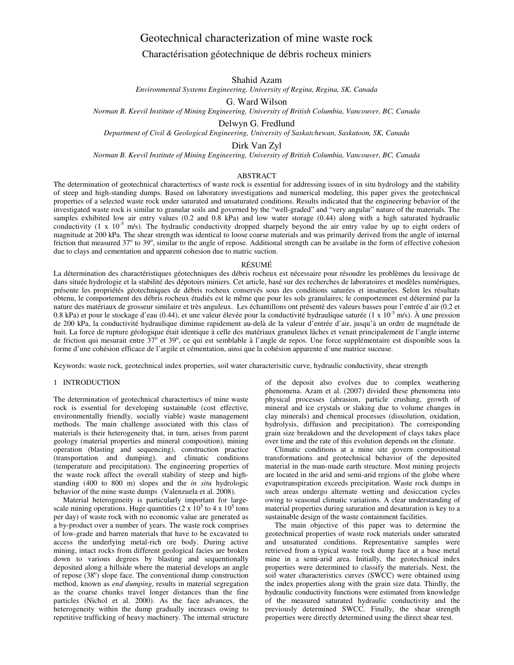# Geotechnical characterization of mine waste rock

## Charactérisation géotechnique de débris rocheux miniers

Shahid Azam

*Environmental Systems Engineering, University of Regina, Regina, SK, Canada* 

G. Ward Wilson

*Norman B. Keevil Institute of Mining Engineering, University of British Columbia, Vancouver, BC, Canada* 

Delwyn G. Fredlund

*Department of Civil & Geological Engineering, University of Saskatchewan, Saskatoon, SK, Canada* 

Dirk Van Zyl

*Norman B. Keevil Institute of Mining Engineering, University of British Columbia, Vancouver, BC, Canada* 

## ABSTRACT

The determination of geotechnical charactertiscs of waste rock is essential for addressing issues of in situ hydrology and the stability of steep and high-standing dumps. Based on laboratory investigations and numerical modeling, this paper gives the geotechnical properties of a selected waste rock under saturated and unsaturated conditions. Results indicated that the engineering behavior of the investigated waste rock is similar to granular soils and governed by the "well-graded" and "very angular" nature of the materials. The samples exhibited low air entry values (0.2 and 0.8 kPa) and low water storage (0.44) along with a high saturated hydraulic conductivity (1 x 10<sup>-5</sup> m/s). The hydraulic conductivity dropped sharpely beyond the air entry value by up to eight orders of magnitude at 200 kPa. The shear strength was identical to loose coarse materials and was primarily derived from the angle of internal friction that measured  $37^{\circ}$  to  $39^{\circ}$ , similar to the angle of repose. Additional strength can be availabe in the form of effective cohesion due to clays and cementation and apparent cohesion due to matric suction.

#### RÉSUMÉ

La détermination des charactéristiques géotechniques des débris rocheux est nécessaire pour résoudre les problèmes du lessivage de dans située hydrologie et la stabilité des dépotoirs miniers. Cet article, basé sur des recherches de laboratoires et modèles numériques, présente les propriétés géotechniques de débris rocheux conservés sous des conditions saturées et insaturées. Selon les résultats obtenu, le comportement des débris rocheux étudiés est le même que pour les sols granulaires; le comportement est déterminé par la nature des matériaux de grosseur similaire et très anguleux. Les échantillons ont présenté des valeurs basses pour l'entrée d'air (0.2 et 0.8 kPa) et pour le stockage d'eau (0.44), et une valeur élevée pour la conductivité hydraulique saturée (1 x  $10^{-5}$  m/s). À une pression de 200 kPa, la conductivité hydraulique diminue rapidement au-delà de la valeur d'entrée d'air, jusqu'à un ordre de magnétude de huit. La force de rupture géologique était identique à celle des matériaux granuleux lâches et venait principalement de l'angle interne de friction qui mesurait entre 37<sup>6</sup> et 39°, ce qui est semblable à l'angle de repos. Une force supplémentaire est disponible sous la forme d'une cohésion efficace de l'argile et cémentation, ainsi que la cohésion apparente d'une matrice suceuse.

Keywords: waste rock, geotechnical index properties, soil water characterisitic curve, hydraulic conductivity, shear strength

## 1 INTRODUCTION

The determination of geotechnical charactertiscs of mine waste rock is essential for developing sustainable (cost effective, environmentally friendly, socially viable) waste management methods. The main challenge associated with this class of materials is their heterogeneity that, in turn, arises from parent geology (material properties and mineral composition), mining operation (blasting and sequencing), construction practice (transportation and dumping), and climatic conditions (temperature and precipitation). The engineering properties of the waste rock affect the overall stability of steep and highstanding (400 to 800 m) slopes and the *in situ* hydrologic behavior of the mine waste dumps (Valenzuela et al. 2008).

Material heterogeneity is particularly important for largescale mining operations. Huge quantities  $(2 \times 10^5$  to  $4 \times 10^5$  tons per day) of waste rock with no economic value are generated as a by-product over a number of years. The waste rock comprises of low-grade and barren materials that have to be excavated to access the underlying metal-rich ore body. During active mining, intact rocks from different geological facies are broken down to various degrees by blasting and sequentionally deposited along a hillside where the material develops an angle of repose  $(38^{\circ})$  slope face. The conventional dump construction method, known as *end dumping*, results in material segregation as the coarse chunks travel longer distances than the fine particles (Nichol et al. 2000). As the face advances, the heterogeneity within the dump gradually increases owing to repetitive trafficking of heavy machinery. The internal structure

of the deposit also evolves due to complex weathering phenomena. Azam et al. (2007) divided these phenomena into physical processes (abrasion, particle crushing, growth of mineral and ice crystals or slaking due to volume changes in clay minerals) and chemical processes (dissolution, oxidation, hydrolysis, diffusion and precipitation). The corresponding grain size breakdown and the development of clays takes place over time and the rate of this evolution depends on the climate.

Climatic conditions at a mine site govern compositional transformations and geotechnical behavior of the deposited material in the man-made earth structure. Most mining projects are located in the arid and semi-arid regions of the globe where evapotranspiration exceeds precipitation. Waste rock dumps in such areas undergo alternate wetting and desiccation cycles owing to seasonal climatic variations. A clear understanding of material properties during saturation and desaturation is key to a sustainable design of the waste containment facilities.

The main objective of this paper was to determine the geotechnical properties of waste rock materials under saturated and unsaturated conditions. Representative samples were retrieved from a typical waste rock dump face at a base metal mine in a semi-arid area. Initially, the geotechnical index properties were determined to classify the materials. Next, the soil water characteristics curves (SWCC) were obtained using the index properties along with the grain size data. Thirdly, the hydraulic conductivity functions were estimated from knowledge of the measured saturated hydraulic conductivity and the previously determined SWCC. Finally, the shear strength properties were directly determined using the direct shear test.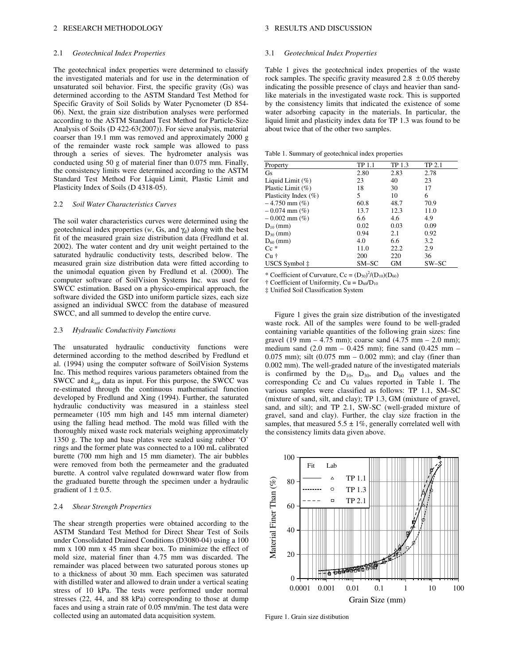#### 2 RESEARCH METHODOLOGY

#### 2.1 *Geotechnical Index Properties*

The geotechnical index properties were determined to classify the investigated materials and for use in the determination of unsaturated soil behavior. First, the specific gravity (Gs) was determined according to the ASTM Standard Test Method for Specific Gravity of Soil Solids by Water Pycnometer (D 854- 06). Next, the grain size distribution analyses were performed according to the ASTM Standard Test Method for Particle-Size Analysis of Soils (D 422-63(2007)). For sieve analysis, material coarser than 19.1 mm was removed and approximately 2000 g of the remainder waste rock sample was allowed to pass through a series of sieves. The hydrometer analysis was conducted using 50 g of material finer than 0.075 mm. Finally, the consistency limits were determined according to the ASTM Standard Test Method For Liquid Limit, Plastic Limit and Plasticity Index of Soils (D 4318-05).

#### 2.2 *Soil Water Characteristics Curves*

The soil water characteristics curves were determined using the geotechnical index properties  $(w, Gs, and \gamma_d)$  along with the best fit of the measured grain size distribution data (Fredlund et al. 2002). The water content and dry unit weight pertained to the saturated hydraulic conductivity tests, described below. The measured grain size distribution data were fitted according to the unimodal equation given by Fredlund et al. (2000). The computer software of SoilVision Systems Inc. was used for SWCC estimation. Based on a physico-empirical approach, the software divided the GSD into uniform particle sizes, each size assigned an individual SWCC from the database of measured SWCC, and all summed to develop the entire curve.

#### 2.3 *Hydraulic Conductivity Functions*

The unsaturated hydraulic conductivity functions were determined according to the method described by Fredlund et al. (1994) using the computer software of SoilVision Systems Inc. This method requires various parameters obtained from the SWCC and *ksat* data as input. For this purpose, the SWCC was re-estimated through the continuous mathematical function developed by Fredlund and Xing (1994). Further, the saturated hydraulic conductivity was measured in a stainless steel permeameter (105 mm high and 145 mm internal diameter) using the falling head method. The mold was filled with the thoroughly mixed waste rock materials weighing approximately 1350 g. The top and base plates were sealed using rubber 'O' rings and the former plate was connected to a 100 mL calibrated burette (700 mm high and 15 mm diameter). The air bubbles were removed from both the permeameter and the graduated burette. A control valve regulated downward water flow from the graduated burette through the specimen under a hydraulic gradient of  $1 \pm 0.5$ .

#### 2.4 *Shear Strength Properties*

The shear strength properties were obtained according to the ASTM Standard Test Method for Direct Shear Test of Soils under Consolidated Drained Conditions (D3080-04) using a 100 mm x 100 mm x 45 mm shear box. To minimize the effect of mold size, material finer than 4.75 mm was discarded. The remainder was placed between two saturated porous stones up to a thickness of about 30 mm. Each specimen was saturated with distilled water and allowed to drain under a vertical seating stress of 10 kPa. The tests were performed under normal stresses (22, 44, and 88 kPa) corresponding to those at dump faces and using a strain rate of 0.05 mm/min. The test data were collected using an automated data acquisition system.

#### 3 RESULTS AND DISCUSSION

#### 3.1 *Geotechnical Index Properties*

Table 1 gives the geotechnical index properties of the waste rock samples. The specific gravity measured  $2.8 \pm 0.05$  thereby indicating the possible presence of clays and heavier than sandlike materials in the investigated waste rock. This is supported by the consistency limits that indicated the existence of some water adsorbing capacity in the materials. In particular, the liquid limit and plasticity index data for TP 1.3 was found to be about twice that of the other two samples.

Table 1. Summary of geotechnical index properties

| Property              | TP 1.1 | TP 1.3 | TP 2.1 |
|-----------------------|--------|--------|--------|
| Gs                    | 2.80   | 2.83   | 2.78   |
| Liquid Limit $(\%)$   | 23     | 40     | 23     |
| Plastic Limit $(\% )$ | 18     | 30     | 17     |
| Plasticity Index (%)  | 5      | 10     | 6      |
| $-4.750$ mm $(\%)$    | 60.8   | 48.7   | 70.9   |
| $-0.074$ mm $(\%)$    | 13.7   | 12.3   | 11.0   |
| $-0.002$ mm $(\%)$    | 6.6    | 4.6    | 4.9    |
| $D_{10}$ (mm)         | 0.02   | 0.03   | 0.09   |
| $D_{30}$ (mm)         | 0.94   | 2.1    | 0.92   |
| $D_{60}$ (mm)         | 4.0    | 6.6    | 3.2    |
| $Cc^*$                | 11.0   | 22.2   | 2.9    |
| $Cu+$                 | 200    | 220    | 36     |
| USCS Symbol ‡         | SM-SC  | GМ     | SW-SC  |

\* Coefficient of Curvature, Cc =  $(D_{30})^2/(D_{10})(D_{60})$ 

 $\dagger$  Coefficient of Uniformity, Cu =  $D_{60}/D_{10}$ 

‡ Unified Soil Classification System

Figure 1 gives the grain size distribution of the investigated waste rock. All of the samples were found to be well-graded containing variable quantities of the following grain sizes: fine gravel (19 mm – 4.75 mm); coarse sand (4.75 mm – 2.0 mm); medium sand  $(2.0 \text{ mm} - 0.425 \text{ mm})$ ; fine sand  $(0.425 \text{ mm} -$ 0.075 mm); silt (0.075 mm – 0.002 mm); and clay (finer than 0.002 mm). The well-graded nature of the investigated materials is confirmed by the  $D_{10}$ ,  $D_{30}$ , and  $D_{60}$  values and the corresponding Cc and Cu values reported in Table 1. The various samples were classified as follows: TP 1.1, SM–SC (mixture of sand, silt, and clay); TP 1.3, GM (mixture of gravel, sand, and silt); and TP 2.1, SW-SC (well-graded mixture of gravel, sand and clay). Further, the clay size fraction in the samples, that measured  $5.5 \pm 1\%$ , generally correlated well with the consistency limits data given above.



Figure 1. Grain size distibution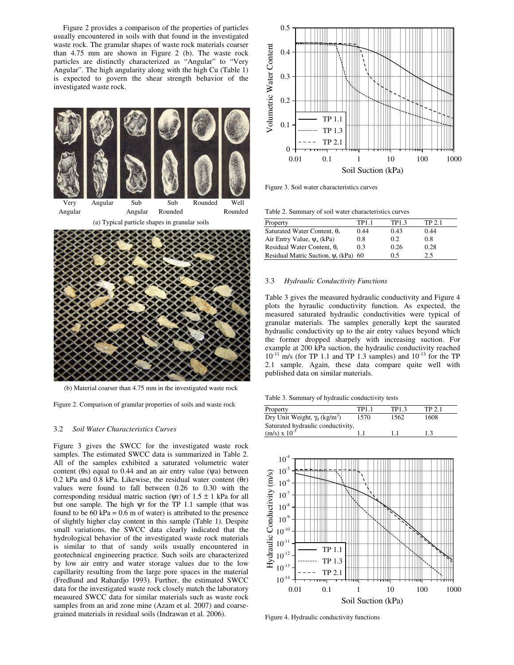Figure 2 provides a comparison of the properties of particles usually encountered in soils with that found in the investigated waste rock. The granular shapes of waste rock materials coarser than 4.75 mm are shown in Figure 2 (b). The waste rock particles are distinctly characterized as "Angular" to "Very Angular". The high angularity along with the high Cu (Table 1) is expected to govern the shear strength behavior of the investigated waste rock.



(a) Typical particle shapes in granular soils



(b) Material coarser than 4.75 mm in the investigated waste rock

Figure 2. Comparison of granular properties of soils and waste rock

#### 3.2 *Soil Water Characteristics Curves*

Figure 3 gives the SWCC for the investigated waste rock samples. The estimated SWCC data is summarized in Table 2. All of the samples exhibited a saturated volumetric water content (θs) equal to 0.44 and an air entry value (ψa) between 0.2 kPa and 0.8 kPa. Likewise, the residual water content  $(\theta r)$ values were found to fall between 0.26 to 0.30 with the corresponding residual matric suction ( $\psi$ r) of 1.5  $\pm$  1 kPa for all but one sample. The high  $\psi$ r for the TP 1.1 sample (that was found to be 60 kPa =  $0.6$  m of water) is attributed to the presence of slightly higher clay content in this sample (Table 1). Despite small variations, the SWCC data clearly indicated that the hydrological behavior of the investigated waste rock materials is similar to that of sandy soils usually encountered in geotechnical engineering practice. Such soils are characterized by low air entry and water storage values due to the low capillarity resulting from the large pore spaces in the material (Fredlund and Rahardjo 1993). Further, the estimated SWCC data for the investigated waste rock closely match the laboratory measured SWCC data for similar materials such as waste rock samples from an arid zone mine (Azam et al. 2007) and coarsegrained materials in residual soils (Indrawan et al. 2006).



Figure 3. Soil water characteristics curves

Table 2. Summary of soil water characteristics curves

| Property                                | TP1.1 | TP1.3 | TP 2-1 |
|-----------------------------------------|-------|-------|--------|
| Saturated Water Content, $\theta_s$     | 0.44  | 0.43  | 0.44   |
| Air Entry Value, $\Psi_a$ (kPa)         | 0.8   | 0.2   | 0.8    |
| Residual Water Content, $\theta_r$      | 0.3   | 0.26  | 0.28   |
| Residual Matric Suction, $\Psi_r$ (kPa) | 60    | 0.5   | 2.5    |

#### 3.3 *Hydraulic Conductivity Functions*

Table 3 gives the measured hydraulic conductivity and Figure 4 plots the hyraulic conductivity function. As expected, the measured saturated hydraulic conductivities were typical of granular materials. The samples generally kept the saurated hydraulic conductivity up to the air entry values beyond which the former dropped sharpely with increasing suction. For example at 200 kPa suction, the hydraulic conductivity reached  $10^{-11}$  m/s (for TP 1.1 and TP 1.3 samples) and  $10^{-13}$  for the TP 2.1 sample. Again, these data compare quite well with published data on similar materials.

Table 3. Summary of hydraulic conductivity tests

| Property                                         | TP1.1 | TP1.3 | TP 2.1 |
|--------------------------------------------------|-------|-------|--------|
| Dry Unit Weight, $\gamma_d$ (kg/m <sup>3</sup> ) | 1570  | 1562  | 1608   |
| Saturated hydraulic conductivity,                |       |       |        |
| $(m/s) \times 10^{-5}$                           |       |       | 13     |



Figure 4. Hydraulic conductivity functions